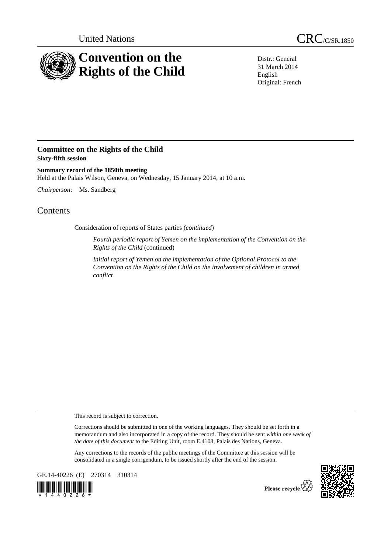

Distr.: General 31 March 2014 English Original: French

## **Committee on the Rights of the Child Sixty-fifth session**

**Summary record of the 1850th meeting**  Held at the Palais Wilson, Geneva, on Wednesday, 15 January 2014, at 10 a.m.

*Chairperson*: Ms. Sandberg

## **Contents**

Consideration of reports of States parties (*continued*)

*Fourth periodic report of Yemen on the implementation of the Convention on the Rights of the Child* (continued)

*Initial report of Yemen on the implementation of the Optional Protocol to the Convention on the Rights of the Child on the involvement of children in armed conflict* 

This record is subject to correction.

Corrections should be submitted in one of the working languages. They should be set forth in a memorandum and also incorporated in a copy of the record. They should be sent *within one week of the date of this document* to the Editing Unit, room E.4108, Palais des Nations, Geneva.

Any corrections to the records of the public meetings of the Committee at this session will be consolidated in a single corrigendum, to be issued shortly after the end of the session.

GE.14-40226 (E) 270314 310314





Please recycle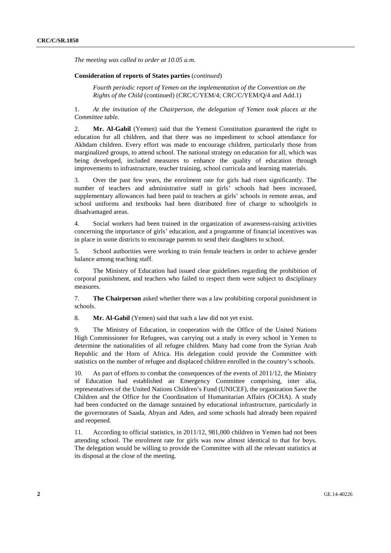*The meeting was called to order at 10.05 a.m.* 

## **Consideration of reports of States parties** (*continued*)

*Fourth periodic report of Yemen on the implementation of the Convention on the Rights of the Child* (continued) (CRC/C/YEM/4; CRC/C/YEM/Q/4 and Add.1)

1. *At the invitation of the Chairperson, the delegation of Yemen took places at the Committee table.*

2. **Mr. Al-Gabil** (Yemen) said that the Yemeni Constitution guaranteed the right to education for all children, and that there was no impediment to school attendance for Akhdam children. Every effort was made to encourage children, particularly those from marginalized groups, to attend school. The national strategy on education for all, which was being developed, included measures to enhance the quality of education through improvements to infrastructure, teacher training, school curricula and learning materials.

3. Over the past few years, the enrolment rate for girls had risen significantly. The number of teachers and administrative staff in girls' schools had been increased, supplementary allowances had been paid to teachers at girls' schools in remote areas, and school uniforms and textbooks had been distributed free of charge to schoolgirls in disadvantaged areas.

4. Social workers had been trained in the organization of awareness-raising activities concerning the importance of girls' education, and a programme of financial incentives was in place in some districts to encourage parents to send their daughters to school.

5. School authorities were working to train female teachers in order to achieve gender balance among teaching staff.

6. The Ministry of Education had issued clear guidelines regarding the prohibition of corporal punishment, and teachers who failed to respect them were subject to disciplinary measures.

7. **The Chairperson** asked whether there was a law prohibiting corporal punishment in schools.

8. **Mr. Al-Gabil** (Yemen) said that such a law did not yet exist.

9. The Ministry of Education, in cooperation with the Office of the United Nations High Commissioner for Refugees, was carrying out a study in every school in Yemen to determine the nationalities of all refugee children. Many had come from the Syrian Arab Republic and the Horn of Africa. His delegation could provide the Committee with statistics on the number of refugee and displaced children enrolled in the country's schools.

10. As part of efforts to combat the consequences of the events of 2011/12, the Ministry of Education had established an Emergency Committee comprising, inter alia, representatives of the United Nations Children's Fund (UNICEF), the organization Save the Children and the Office for the Coordination of Humanitarian Affairs (OCHA). A study had been conducted on the damage sustained by educational infrastructure, particularly in the governorates of Saada, Abyan and Aden, and some schools had already been repaired and reopened.

11. According to official statistics, in 2011/12, 981,000 children in Yemen had not been attending school. The enrolment rate for girls was now almost identical to that for boys. The delegation would be willing to provide the Committee with all the relevant statistics at its disposal at the close of the meeting.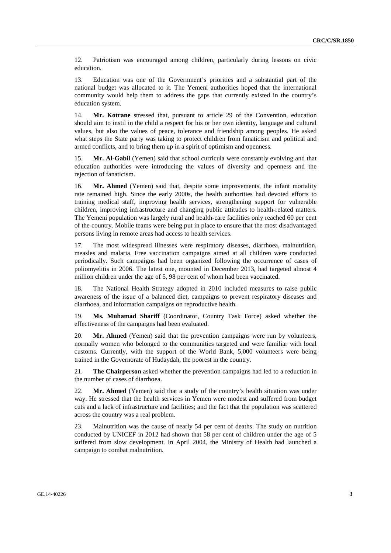12. Patriotism was encouraged among children, particularly during lessons on civic education.

13. Education was one of the Government's priorities and a substantial part of the national budget was allocated to it. The Yemeni authorities hoped that the international community would help them to address the gaps that currently existed in the country's education system.

14. **Mr. Kotrane** stressed that, pursuant to article 29 of the Convention, education should aim to instil in the child a respect for his or her own identity, language and cultural values, but also the values of peace, tolerance and friendship among peoples. He asked what steps the State party was taking to protect children from fanaticism and political and armed conflicts, and to bring them up in a spirit of optimism and openness.

15. **Mr. Al-Gabil** (Yemen) said that school curricula were constantly evolving and that education authorities were introducing the values of diversity and openness and the rejection of fanaticism.

16. **Mr. Ahmed** (Yemen) said that, despite some improvements, the infant mortality rate remained high. Since the early 2000s, the health authorities had devoted efforts to training medical staff, improving health services, strengthening support for vulnerable children, improving infrastructure and changing public attitudes to health-related matters. The Yemeni population was largely rural and health-care facilities only reached 60 per cent of the country. Mobile teams were being put in place to ensure that the most disadvantaged persons living in remote areas had access to health services.

17. The most widespread illnesses were respiratory diseases, diarrhoea, malnutrition, measles and malaria. Free vaccination campaigns aimed at all children were conducted periodically. Such campaigns had been organized following the occurrence of cases of poliomyelitis in 2006. The latest one, mounted in December 2013, had targeted almost 4 million children under the age of 5, 98 per cent of whom had been vaccinated.

18. The National Health Strategy adopted in 2010 included measures to raise public awareness of the issue of a balanced diet, campaigns to prevent respiratory diseases and diarrhoea, and information campaigns on reproductive health.

19. **Ms. Muhamad Shariff** (Coordinator, Country Task Force) asked whether the effectiveness of the campaigns had been evaluated.

20. **Mr. Ahmed** (Yemen) said that the prevention campaigns were run by volunteers, normally women who belonged to the communities targeted and were familiar with local customs. Currently, with the support of the World Bank, 5,000 volunteers were being trained in the Governorate of Hudaydah, the poorest in the country.

21. **The Chairperson** asked whether the prevention campaigns had led to a reduction in the number of cases of diarrhoea.

22. **Mr. Ahmed** (Yemen) said that a study of the country's health situation was under way. He stressed that the health services in Yemen were modest and suffered from budget cuts and a lack of infrastructure and facilities; and the fact that the population was scattered across the country was a real problem.

23. Malnutrition was the cause of nearly 54 per cent of deaths. The study on nutrition conducted by UNICEF in 2012 had shown that 58 per cent of children under the age of 5 suffered from slow development. In April 2004, the Ministry of Health had launched a campaign to combat malnutrition.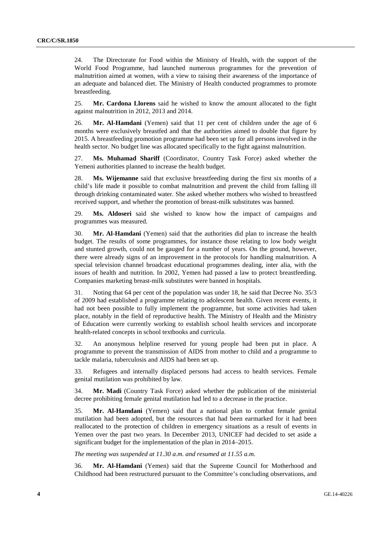24. The Directorate for Food within the Ministry of Health, with the support of the World Food Programme, had launched numerous programmes for the prevention of malnutrition aimed at women, with a view to raising their awareness of the importance of an adequate and balanced diet. The Ministry of Health conducted programmes to promote breastfeeding.

25. **Mr. Cardona Llorens** said he wished to know the amount allocated to the fight against malnutrition in 2012, 2013 and 2014.

26. **Mr. Al-Hamdani** (Yemen) said that 11 per cent of children under the age of 6 months were exclusively breastfed and that the authorities aimed to double that figure by 2015. A breastfeeding promotion programme had been set up for all persons involved in the health sector. No budget line was allocated specifically to the fight against malnutrition.

27. **Ms. Muhamad Shariff** (Coordinator, Country Task Force) asked whether the Yemeni authorities planned to increase the health budget.

28. **Ms. Wijemanne** said that exclusive breastfeeding during the first six months of a child's life made it possible to combat malnutrition and prevent the child from falling ill through drinking contaminated water. She asked whether mothers who wished to breastfeed received support, and whether the promotion of breast-milk substitutes was banned.

29. **Ms. Aldoseri** said she wished to know how the impact of campaigns and programmes was measured.

30. **Mr. Al-Hamdani** (Yemen) said that the authorities did plan to increase the health budget. The results of some programmes, for instance those relating to low body weight and stunted growth, could not be gauged for a number of years. On the ground, however, there were already signs of an improvement in the protocols for handling malnutrition. A special television channel broadcast educational programmes dealing, inter alia, with the issues of health and nutrition. In 2002, Yemen had passed a law to protect breastfeeding. Companies marketing breast-milk substitutes were banned in hospitals.

31. Noting that 64 per cent of the population was under 18, he said that Decree No. 35/3 of 2009 had established a programme relating to adolescent health. Given recent events, it had not been possible to fully implement the programme, but some activities had taken place, notably in the field of reproductive health. The Ministry of Health and the Ministry of Education were currently working to establish school health services and incorporate health-related concepts in school textbooks and curricula.

32. An anonymous helpline reserved for young people had been put in place. A programme to prevent the transmission of AIDS from mother to child and a programme to tackle malaria, tuberculosis and AIDS had been set up.

33. Refugees and internally displaced persons had access to health services. Female genital mutilation was prohibited by law.

34. **Mr. Madi** (Country Task Force) asked whether the publication of the ministerial decree prohibiting female genital mutilation had led to a decrease in the practice.

35. **Mr. Al-Hamdani** (Yemen) said that a national plan to combat female genital mutilation had been adopted, but the resources that had been earmarked for it had been reallocated to the protection of children in emergency situations as a result of events in Yemen over the past two years. In December 2013, UNICEF had decided to set aside a significant budget for the implementation of the plan in 2014–2015.

*The meeting was suspended at 11.30 a.m. and resumed at 11.55 a.m.* 

36. **Mr. Al-Hamdani** (Yemen) said that the Supreme Council for Motherhood and Childhood had been restructured pursuant to the Committee's concluding observations, and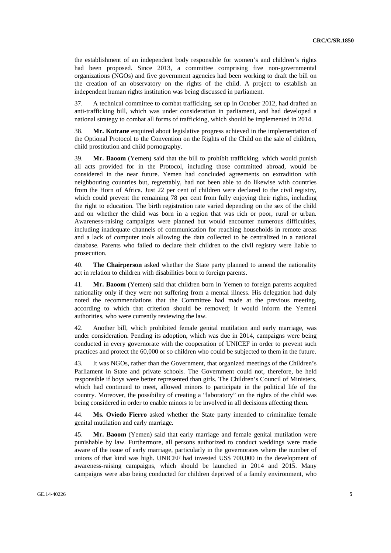the establishment of an independent body responsible for women's and children's rights had been proposed. Since 2013, a committee comprising five non-governmental organizations (NGOs) and five government agencies had been working to draft the bill on the creation of an observatory on the rights of the child. A project to establish an independent human rights institution was being discussed in parliament.

37. A technical committee to combat trafficking, set up in October 2012, had drafted an anti-trafficking bill, which was under consideration in parliament, and had developed a national strategy to combat all forms of trafficking, which should be implemented in 2014.

38. **Mr. Kotrane** enquired about legislative progress achieved in the implementation of the Optional Protocol to the Convention on the Rights of the Child on the sale of children, child prostitution and child pornography.

39. **Mr. Baoom** (Yemen) said that the bill to prohibit trafficking, which would punish all acts provided for in the Protocol, including those committed abroad, would be considered in the near future. Yemen had concluded agreements on extradition with neighbouring countries but, regrettably, had not been able to do likewise with countries from the Horn of Africa. Just 22 per cent of children were declared to the civil registry, which could prevent the remaining 78 per cent from fully enjoying their rights, including the right to education. The birth registration rate varied depending on the sex of the child and on whether the child was born in a region that was rich or poor, rural or urban. Awareness-raising campaigns were planned but would encounter numerous difficulties, including inadequate channels of communication for reaching households in remote areas and a lack of computer tools allowing the data collected to be centralized in a national database. Parents who failed to declare their children to the civil registry were liable to prosecution.

40. **The Chairperson** asked whether the State party planned to amend the nationality act in relation to children with disabilities born to foreign parents.

41. **Mr. Baoom** (Yemen) said that children born in Yemen to foreign parents acquired nationality only if they were not suffering from a mental illness. His delegation had duly noted the recommendations that the Committee had made at the previous meeting, according to which that criterion should be removed; it would inform the Yemeni authorities, who were currently reviewing the law.

42. Another bill, which prohibited female genital mutilation and early marriage, was under consideration. Pending its adoption, which was due in 2014, campaigns were being conducted in every governorate with the cooperation of UNICEF in order to prevent such practices and protect the 60,000 or so children who could be subjected to them in the future.

43. It was NGOs, rather than the Government, that organized meetings of the Children's Parliament in State and private schools. The Government could not, therefore, be held responsible if boys were better represented than girls. The Children's Council of Ministers, which had continued to meet, allowed minors to participate in the political life of the country. Moreover, the possibility of creating a "laboratory" on the rights of the child was being considered in order to enable minors to be involved in all decisions affecting them.

44. **Ms. Oviedo Fierro** asked whether the State party intended to criminalize female genital mutilation and early marriage.

45. **Mr. Baoom** (Yemen) said that early marriage and female genital mutilation were punishable by law. Furthermore, all persons authorized to conduct weddings were made aware of the issue of early marriage, particularly in the governorates where the number of unions of that kind was high. UNICEF had invested US\$ 700,000 in the development of awareness-raising campaigns, which should be launched in 2014 and 2015. Many campaigns were also being conducted for children deprived of a family environment, who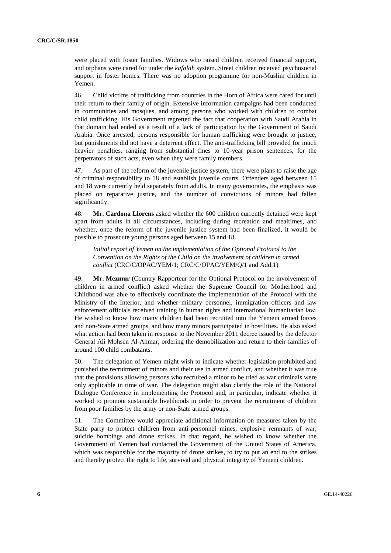were placed with foster families. Widows who raised children received financial support, and orphans were cared for under the *kafalah* system. Street children received psychosocial support in foster homes. There was no adoption programme for non-Muslim children in Yemen.

46. Child victims of trafficking from countries in the Horn of Africa were cared for until their return to their family of origin. Extensive information campaigns had been conducted in communities and mosques, and among persons who worked with children to combat child trafficking. His Government regretted the fact that cooperation with Saudi Arabia in that domain had ended as a result of a lack of participation by the Government of Saudi Arabia. Once arrested, persons responsible for human trafficking were brought to justice, but punishments did not have a deterrent effect. The anti-trafficking bill provided for much heavier penalties, ranging from substantial fines to 10-year prison sentences, for the perpetrators of such acts, even when they were family members.

47. As part of the reform of the juvenile justice system, there were plans to raise the age of criminal responsibility to 18 and establish juvenile courts. Offenders aged between 15 and 18 were currently held separately from adults. In many governorates, the emphasis was placed on reparative justice, and the number of convictions of minors had fallen significantly.

48. **Mr. Cardona Llorens** asked whether the 600 children currently detained were kept apart from adults in all circumstances, including during recreation and mealtimes, and whether, once the reform of the juvenile justice system had been finalized, it would be possible to prosecute young persons aged between 15 and 18.

*Initial report of Yemen on the implementation of the Optional Protocol to the Convention on the Rights of the Child on the involvement of children in armed conflict* (CRC/C/OPAC/YEM/1; CRC/C/OPAC/YEM/Q/1 and Add.1)

49. **Mr. Mezmur** (Country Rapporteur for the Optional Protocol on the involvement of children in armed conflict) asked whether the Supreme Council for Motherhood and Childhood was able to effectively coordinate the implementation of the Protocol with the Ministry of the Interior, and whether military personnel, immigration officers and law enforcement officials received training in human rights and international humanitarian law. He wished to know how many children had been recruited into the Yemeni armed forces and non-State armed groups, and how many minors participated in hostilities. He also asked what action had been taken in response to the November 2011 decree issued by the defector General Ali Mohsen Al-Ahmar, ordering the demobilization and return to their families of around 100 child combatants.

50. The delegation of Yemen might wish to indicate whether legislation prohibited and punished the recruitment of minors and their use in armed conflict, and whether it was true that the provisions allowing persons who recruited a minor to be tried as war criminals were only applicable in time of war. The delegation might also clarify the role of the National Dialogue Conference in implementing the Protocol and, in particular, indicate whether it worked to promote sustainable livelihoods in order to prevent the recruitment of children from poor families by the army or non-State armed groups.

51. The Committee would appreciate additional information on measures taken by the State party to protect children from anti-personnel mines, explosive remnants of war, suicide bombings and drone strikes. In that regard, he wished to know whether the Government of Yemen had contacted the Government of the United States of America, which was responsible for the majority of drone strikes, to try to put an end to the strikes and thereby protect the right to life, survival and physical integrity of Yemeni children.